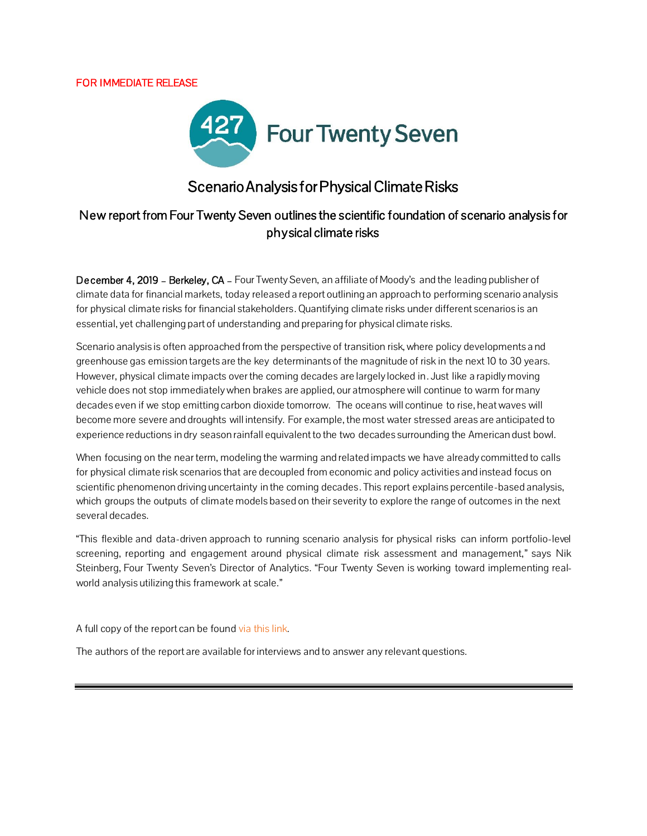FOR IMMEDIATE RELEASE



## Scenario Analysis for Physical Climate Risks

## New report from Four Twenty Seven outlines the scientific foundation of scenario analysis for physical climate risks

December 4, 2019 – Berkeley, CA – Four Twenty Seven, an affiliate of Moody's and the leading publisher of climate data for financial markets, today released a report outlining an approach to performing scenario analysis for physical climate risks for financial stakeholders. Quantifying climate risks under different scenarios is an essential, yet challenging part of understanding and preparing for physical climate risks.

Scenario analysis is often approached from the perspective of transition risk, where policy developments a nd greenhouse gas emission targets are the key determinants of the magnitude of risk in the next 10 to 30 years. However, physical climate impacts over the coming decades are largely locked in. Just like a rapidly moving vehicle does not stop immediately when brakes are applied, our atmosphere will continue to warm for many decades even if we stop emitting carbon dioxide tomorrow. The oceans will continue to rise, heat waves will become more severe and droughts will intensify. For example, the most water stressed areas are anticipated to experience reductions in dry season rainfall equivalent to the two decades surrounding the American dust bowl.

When focusing on the near term, modeling the warming and related impacts we have already committed to calls for physical climate risk scenarios that are decoupled from economic and policy activities and instead focus on scientific phenomenon driving uncertainty in the coming decades. This report explains percentile-based analysis, which groups the outputs of climate models based on their severity to explore the range of outcomes in the next several decades.

"This flexible and data-driven approach to running scenario analysis for physical risks can inform portfolio-level screening, reporting and engagement around physical climate risk assessment and management," says Nik Steinberg, Four Twenty Seven's Director of Analytics. "Four Twenty Seven is working toward implementing realworld analysis utilizing this framework at scale."

A full copy of the report can be found [via this link.](http://427mt.com/2019/12/04/climate-scenario-analysis-for-financial-stakeholders)

The authors of the report are available for interviews and to answer any relevant questions.